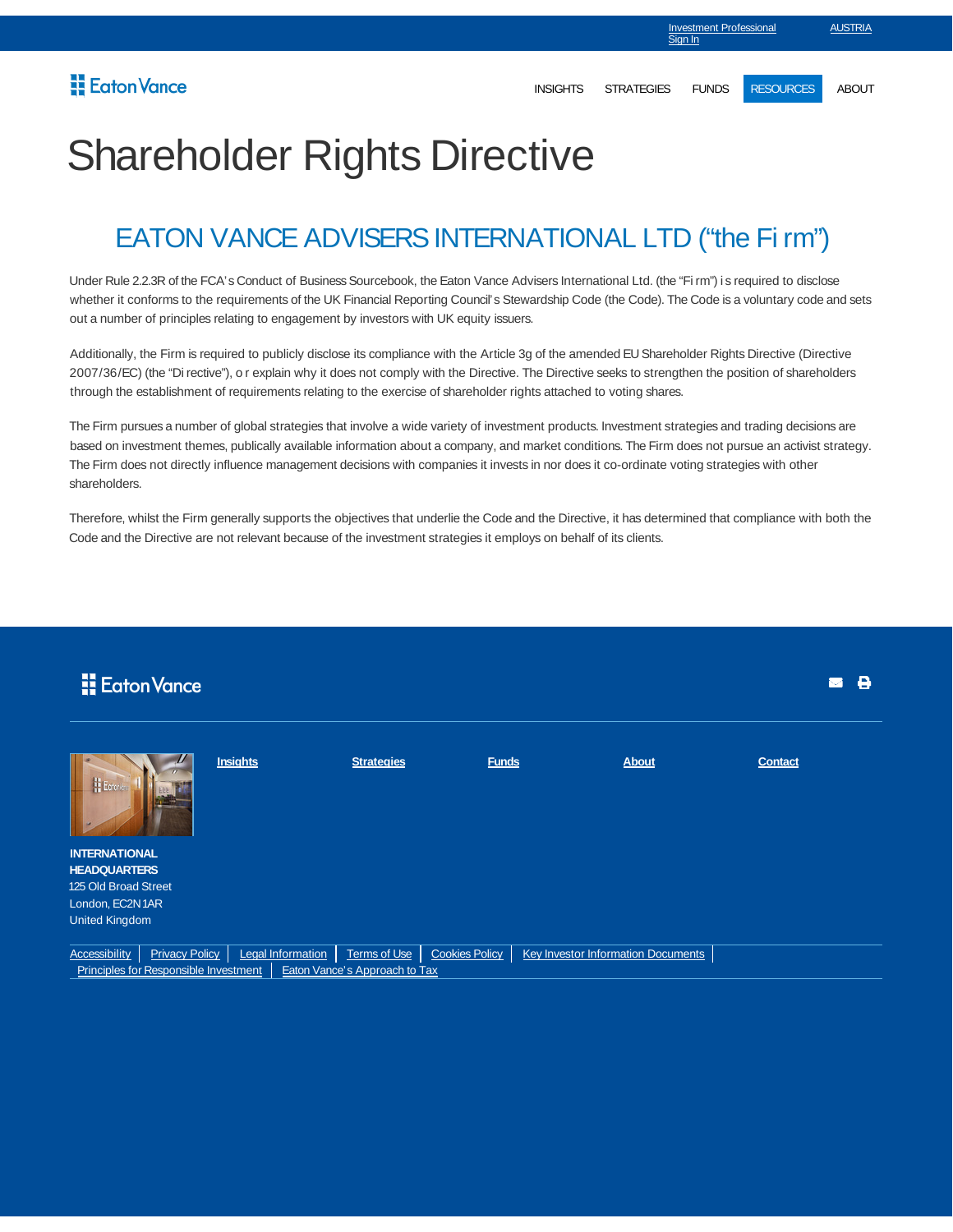## Shareholder Rights Directive

## EATON VANCE ADVISERS INTERNATIONAL LTD ("the Fi rm")

Under Rule 2.2.3R of the FCA's Conduct of Business Sourcebook, the Eaton Vance Advisers International Ltd. (the "Fi rm") is required to disclose whether it conforms to the requirements of the UK Financial Reporting Council's Stewardship Code (the Code). The Code is a voluntary code and sets out a number of principles relating to engagement by investors with UK equity issuers.

Additionally, the Firm is required to publicly disclose its compliance with the Article 3g of the amended EU Shareholder Rights Directive (Directive 2007/36/EC) (the "Di rective"), or explain why it does not comply with the Directive. The Directive seeks to strengthen the position of shareholders through the establishment of requirements relating to the exercise of shareholder rights attached to voting shares.

The Firm pursues a number of global strategies that involve a wide variety of investment products. Investment strategies and trading decisions are based on investment themes, publically available information about a company, and market conditions. The Firm does not pursue an activist strategy. The Firm does not directly influence management decisions with companies it invests in nor does it co-ordinate voting strategies with other shareholders.

Therefore, whilst the Firm generally supports the objectives that underlie the Code and the Directive, it has determined that compliance with both the Code and the Directive are not relevant because of the investment strategies it employs on behalf of its clients.

| Eaton Vance                                 |                                                                |                   |                                                      |                       |  |                                    |                | θ<br>М |
|---------------------------------------------|----------------------------------------------------------------|-------------------|------------------------------------------------------|-----------------------|--|------------------------------------|----------------|--------|
| H Eoton's                                   |                                                                | <b>Insights</b>   | <b>Strategies</b>                                    | <b>Funds</b>          |  | <b>About</b>                       | <b>Contact</b> |        |
| <b>INTERNATIONAL</b><br><b>HEADQUARTERS</b> |                                                                |                   |                                                      |                       |  |                                    |                |        |
| 125 Old Broad Street                        |                                                                |                   |                                                      |                       |  |                                    |                |        |
| London, EC2N1AR                             |                                                                |                   |                                                      |                       |  |                                    |                |        |
| <b>United Kingdom</b>                       |                                                                |                   |                                                      |                       |  |                                    |                |        |
| <b>Accessibility</b>                        | <b>Privacy Policy</b><br>Principles for Responsible Investment | Legal Information | <b>Terms of Use</b><br>Eaton Vance's Approach to Tax | <b>Cookies Policy</b> |  | Key Investor Information Documents |                |        |